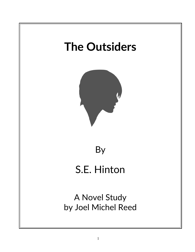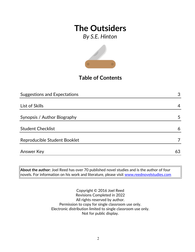*By S.E. Hinton*



## **Table of Contents**

| <b>Suggestions and Expectations</b> | 3  |
|-------------------------------------|----|
|                                     |    |
| List of Skills                      | 4  |
|                                     |    |
| Synopsis / Author Biography         | 5  |
|                                     |    |
| <b>Student Checklist</b>            | 6  |
|                                     |    |
| Reproducible Student Booklet        |    |
|                                     |    |
| <b>Answer Key</b>                   | 63 |

**About the author:** Joel Reed has over 70 published novel studies and is the author of four  $|$ novels. For information on his work and literature, please visit  $\overline{\text{www.reednovelstudies.com}}$ 

> Copyright © 2016 Joel Reed Revisions Completed in 2022 All rights reserved by author. Permission to copy for single classroom use only. Electronic distribution limited to single classroom use only. Not for public display.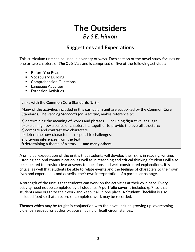## **The Outsiders** *By S.E. Hinton*

## **Suggestions and Expectations**

This curriculum unit can be used in a variety of ways. Each section of the novel study focuses on one or two chapters of *The Outsiders* and is comprised of five of the following activities:

- Before You Read
- **Vocabulary Building**
- Comprehension Questions
- **Language Activities**
- **Extension Activities**

#### **Links with the Common Core Standards (U.S.)**

Many of the activities included in this curriculum unit are supported by the Common Core Standards. The *Reading Standards for Literature,* makes reference to:

a) determining the meaning of words and phrases. . . including figurative language;

b) explaining how a series of chapters fits together to provide the overall structure;

c) compare and contrast two characters;

d) determine how characters … respond to challenges;

e) drawing inferences from the text;

f) determining a theme of a story . . . **and many others.**

A principal expectation of the unit is that students will develop their skills in reading, writing, listening and oral communication, as well as in reasoning and critical thinking. Students will also be expected to provide clear answers to questions and well-constructed explanations. It is critical as well that students be able to relate events and the feelings of characters to their own lives and experiences and describe their own interpretation of a particular passage.

A strength of the unit is that students can work on the activities at their own pace. Every activity need not be completed by all students. A **portfolio cover** is included (p.7) so that students may organize their work and keep it all in one place. A **Student Checklist** is also included (p.6) so that a record of completed work may be recorded.

**Themes** which may be taught in conjunction with the novel include growing up, overcoming violence, respect for authority, abuse, facing difficult circumstances.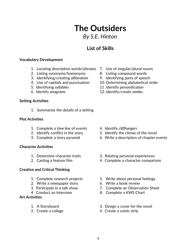## **The Outsiders** *By S.E. Hinton*

## **List of Skills**

#### **Vocabulary Development**

- 1. Locating descriptive words/phrases 7. Use of singular/plural nouns
- 2. Listing synonyms/homonyms 8. Listing compound words
- 3. Identifying/creating *alliteration* 9. Identifying parts of speech
- 
- 
- 

#### **Setting Activities**

1. Summarize the details of a setting

#### **Plot Activities**

- 1. Complete a *time line* of events 4. Identify *cliffhangers*
- 
- 

#### **Character Activities**

- 
- 

#### **Creative and Critical Thinking**

- 
- 2. Write a newspaper story 6. Write a book review
- 
- 

#### **Art Activities**

- 
- 
- 
- 
- 
- 4. Use of capitals and punctuation 10. Determining alphabetical order
- 5. Identifying syllables 11. Identify *personification*
- 6. Identify *anagrams* 12. Identify/create *similes*

- 
- 2. Identify conflict in the story 5. Identify the climax of the novel
- 3. Complete a story pyramid 6. Write a description of chapter events
- 1. Determine character traits 3. Relating personal experiences
- 2. Casting a feature film 4. Complete a character comparison
- 1. Complete research projects 5. Write about personal feelings
	-
- 3. Participate in a talk show 7. Complete an Observation Sheet
- 4. Conduct an interview 8. Complete a KWS Chart
- 1. A Storyboard 3. Design a cover for the novel
- 2. Create a collage 4. Create a comic strip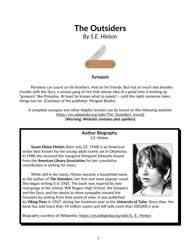*By S.E. Hinton*



### **Synopsis**

Ponyboy can count on his brothers. And on his friends. But not on much else besides trouble with the Socs, a vicious gang of rich kids whose idea of a good time is beating up "greasers" like Ponyboy. At least he knows what to expect – until the night someone takes things too far. (Courtesy of the publisher: Penguin Books)

A complete synopsis and other helpful reviews can be found on the following website: https://en.wikipedia.org/wiki/The Outsiders (novel) **(Warning: Website contains plot spoilers)**

#### **Author Biography** *S.E. Hinton*

**Susan Eloise Hinton** (born July 22, 1948) is an American writer best known for her young-adult novels set in Oklahoma. In 1988 she received the inaugural Margaret Edwards Award from the *American Library Association* for her cumulative contribution in writing for teens.

 While still in her teens, Hinton became a household name as the author of *The Outsiders*, her first and most popular novel. She began writing it in 1965. The book was inspired by two rival gangs at her school, Will Rogers High School, the Greasers and the Socs, and her desire to show sympathy toward the Greasers by writing from their point of view. It was published



by *Viking Press* in 1967, during her freshman year at the *University of Tulsa*. Since then, the book has sold more than 14 million copies and still sells more than 500,000 a year.

Biography courtesy of Wikipedia: [https://en.wikipedia.org/wiki/S.\\_E.\\_Hinton](https://en.wikipedia.org/wiki/S._E._Hinton)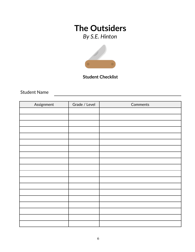*By S.E. Hinton*



### **Student Checklist**

Student Name

| Assignment | Grade / Level | Comments |
|------------|---------------|----------|
|            |               |          |
|            |               |          |
|            |               |          |
|            |               |          |
|            |               |          |
|            |               |          |
|            |               |          |
|            |               |          |
|            |               |          |
|            |               |          |
|            |               |          |
|            |               |          |
|            |               |          |
|            |               |          |
|            |               |          |
|            |               |          |
|            |               |          |
|            |               |          |
|            |               |          |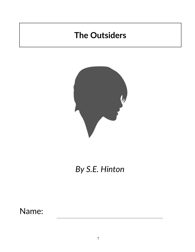

# *By S.E. Hinton*

Name: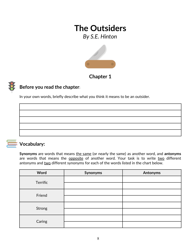*By S.E. Hinton*



### **Chapter 1**

## **Before you read the chapter**:

In your own words, briefly describe what you think it means to be an outsider.



### **Vocabulary:**

**Synonyms** are words that means the same (or nearly the same) as another word, and **antonyms** are words that means the opposite of another word. Your task is to write two different antonyms and two different synonyms for each of the words listed in the chart below.

| Word     | Synonyms | <b>Antonyms</b> |
|----------|----------|-----------------|
| Terrific |          |                 |
|          |          |                 |
| Friend   |          |                 |
|          |          |                 |
| Strong   |          |                 |
|          |          |                 |
| Caring   |          |                 |
|          |          |                 |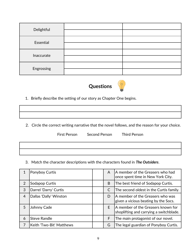| Delightful |  |
|------------|--|
| Essential  |  |
|            |  |
| Inaccurate |  |
|            |  |
| Engrossing |  |
|            |  |



1. Briefly describe the setting of our story as Chapter One begins.

2. Circle the correct writing narrative that the novel follows, and the reason for your choice.

First Person Second Person Third Person

3. Match the character descriptions with the characters found in *The Outsiders*.

|                | Ponyboy Curtis           | A            | A member of the Greasers who had<br>once spent time in New York City.         |
|----------------|--------------------------|--------------|-------------------------------------------------------------------------------|
| 2              | Sodapop Curtis           | B            | The best friend of Sodapop Curtis.                                            |
| 3              | Darrel 'Darry' Curtis    | $\mathsf{C}$ | The second oldest in the Curtis family.                                       |
| $\overline{4}$ | Dallas 'Dally' Winston   | D            | A member of the Greasers who was<br>given a vicious beating by the Socs.      |
| 5              | Johnny Cade              | E.           | A member of the Greasers known for<br>shoplifting and carrying a switchblade. |
| 6              | <b>Steve Randle</b>      | F            | The main protagonist of our novel.                                            |
| 7              | Keith 'Two-Bit' Matthews | G            | The legal guardian of Ponyboy Curtis.                                         |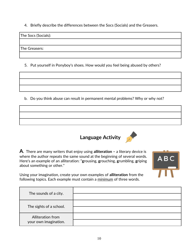4. Briefly describe the differences between the Socs (Socials) and the Greasers.

The Socs (Socials):

The Greasers:

5. Put yourself in Ponyboy's shoes. How would you feel being abused by others?

b. Do you think abuse can result in permanent mental problems? Why or why not?



**ABC** 

**A**. There are many writers that enjoy using **alliteration –** a literary device is where the author repeats the same sound at the beginning of several words. Here's an example of an alliteration: "**g**rousing, **g**rouching, **g**rumbling, **g**riping about something or other."

Using your imagination, create your own examples of **alliteration** from the following topics. Each example must contain a minimum of three words.

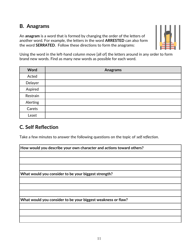### **B. Anagrams**

An **anagram** is a word that is formed by changing the order of the letters of another word. For example, the letters in the word **ARRESTED** can also form the word **SERRATED**. Follow these directions to form the anagrams:



Using the word in the left-hand column move [all of] the letters around in any order to form brand new words. Find as many new words as possible for each word.

| Word     | <b>Anagrams</b> |
|----------|-----------------|
| Acted    |                 |
| Delayer  |                 |
| Aspired  |                 |
| Restrain |                 |
| Alerting |                 |
| Carets   |                 |
| Least    |                 |

### **C. Self Reflection**

Take a few minutes to answer the following questions on the topic of *self reflection*.

| How would you describe your own character and actions toward others? |
|----------------------------------------------------------------------|
|                                                                      |
|                                                                      |
|                                                                      |
| What would you consider to be your biggest strength?                 |
|                                                                      |
|                                                                      |
|                                                                      |
| What would you consider to be your biggest weakness or flaw?         |
|                                                                      |
|                                                                      |
|                                                                      |